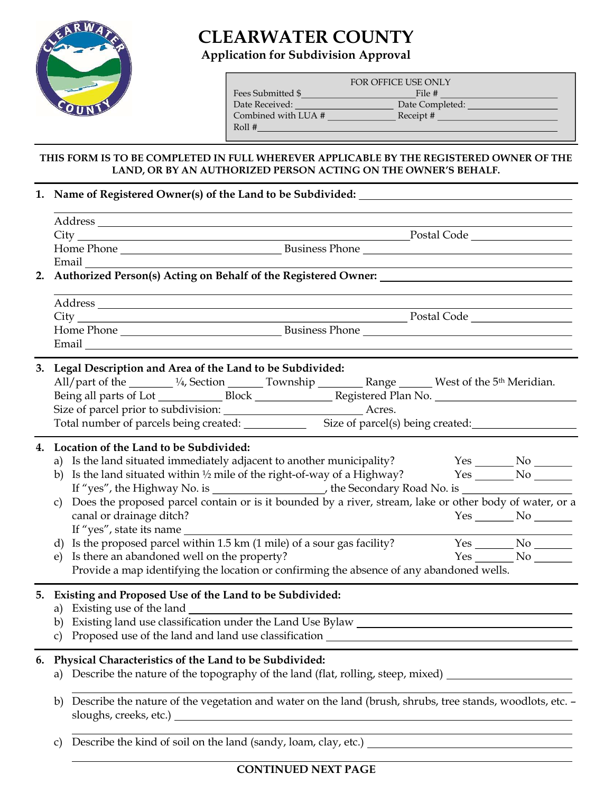

# CLEARWATER COUNTY

Application for Subdivision Approval

| FOR OFFICE USE ONLY |                 |  |  |  |
|---------------------|-----------------|--|--|--|
| Fees Submitted \$   | File #          |  |  |  |
| Date Received:      | Date Completed: |  |  |  |
| Combined with LUA # | Receipt#        |  |  |  |
| Roll #              |                 |  |  |  |
|                     |                 |  |  |  |

### THIS FORM IS TO BE COMPLETED IN FULL WHEREVER APPLICABLE BY THE REGISTERED OWNER OF THE LAND, OR BY AN AUTHORIZED PERSON ACTING ON THE OWNER'S BEHALF.

## 1. Name of Registered Owner(s) of the Land to be Subdivided:

|    | Email<br>2. Authorized Person(s) Acting on Behalf of the Registered Owner:                                                                                                                                                                                                                                                                                                                                                                                                                                                                                                                                                                                                                                                                                              |
|----|-------------------------------------------------------------------------------------------------------------------------------------------------------------------------------------------------------------------------------------------------------------------------------------------------------------------------------------------------------------------------------------------------------------------------------------------------------------------------------------------------------------------------------------------------------------------------------------------------------------------------------------------------------------------------------------------------------------------------------------------------------------------------|
|    |                                                                                                                                                                                                                                                                                                                                                                                                                                                                                                                                                                                                                                                                                                                                                                         |
|    | Email explorer and the second services of the services of the services of the services of the services of the services of the services of the services of the services of the services of the services of the services of the                                                                                                                                                                                                                                                                                                                                                                                                                                                                                                                                           |
|    | 3. Legal Description and Area of the Land to be Subdivided:<br>All/part of the 14, Section 14, Section 2008 10 Township 2008 Range 2008 West of the 5 <sup>th</sup> Meridian.                                                                                                                                                                                                                                                                                                                                                                                                                                                                                                                                                                                           |
| 4. | Location of the Land to be Subdivided:<br>a) Is the land situated immediately adjacent to another municipality?<br>$Yes$ No $\_\_$<br>b) Is the land situated within $\frac{1}{2}$ mile of the right-of-way of a Highway? Yes ________ No _______<br>If "yes", the Highway No. is _____________________, the Secondary Road No. is ________________________________<br>Does the proposed parcel contain or is it bounded by a river, stream, lake or other body of water, or a<br>canal or drainage ditch?<br>$Yes$ No $\_\_$<br>Is the proposed parcel within 1.5 km (1 mile) of a sour gas facility?<br>d)<br>Is there an abandoned well on the property?<br>$Yes$ No $N$<br>Provide a map identifying the location or confirming the absence of any abandoned wells. |
|    | 5. Existing and Proposed Use of the Land to be Subdivided:<br>a) Existing use of the land<br>Existing land use classification under the Land Use Bylaw _______________________<br>b)                                                                                                                                                                                                                                                                                                                                                                                                                                                                                                                                                                                    |
| 6. | Physical Characteristics of the Land to be Subdivided:<br>a) Describe the nature of the topography of the land (flat, rolling, steep, mixed) _________________                                                                                                                                                                                                                                                                                                                                                                                                                                                                                                                                                                                                          |
|    | Describe the nature of the vegetation and water on the land (brush, shrubs, tree stands, woodlots, etc. -<br>b)                                                                                                                                                                                                                                                                                                                                                                                                                                                                                                                                                                                                                                                         |
|    |                                                                                                                                                                                                                                                                                                                                                                                                                                                                                                                                                                                                                                                                                                                                                                         |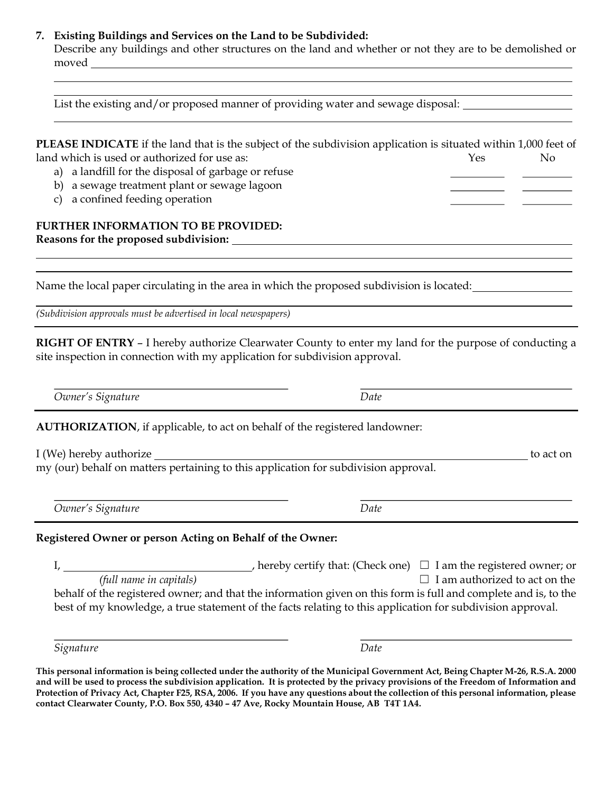#### 7. Existing Buildings and Services on the Land to be Subdivided:

 Describe any buildings and other structures on the land and whether or not they are to be demolished or moved \_\_\_

| List the existing and/or proposed manner of providing water and sewage disposal: __________________                                                                                                        |                                                                                                                                                                                                                                                                                                                                                                                      |  |  |
|------------------------------------------------------------------------------------------------------------------------------------------------------------------------------------------------------------|--------------------------------------------------------------------------------------------------------------------------------------------------------------------------------------------------------------------------------------------------------------------------------------------------------------------------------------------------------------------------------------|--|--|
| land which is used or authorized for use as:<br>a landfill for the disposal of garbage or refuse<br>a)<br>a sewage treatment plant or sewage lagoon<br>b)<br>a confined feeding operation<br>$\mathcal{C}$ | <b>PLEASE INDICATE</b> if the land that is the subject of the subdivision application is situated within 1,000 feet of<br>Yes<br>N <sub>o</sub>                                                                                                                                                                                                                                      |  |  |
| <b>FURTHER INFORMATION TO BE PROVIDED:</b>                                                                                                                                                                 |                                                                                                                                                                                                                                                                                                                                                                                      |  |  |
|                                                                                                                                                                                                            | Name the local paper circulating in the area in which the proposed subdivision is located:                                                                                                                                                                                                                                                                                           |  |  |
| (Subdivision approvals must be advertised in local newspapers)                                                                                                                                             |                                                                                                                                                                                                                                                                                                                                                                                      |  |  |
| site inspection in connection with my application for subdivision approval.<br>Owner's Signature                                                                                                           | <b>RIGHT OF ENTRY - I</b> hereby authorize Clearwater County to enter my land for the purpose of conducting a<br>Date                                                                                                                                                                                                                                                                |  |  |
|                                                                                                                                                                                                            |                                                                                                                                                                                                                                                                                                                                                                                      |  |  |
| AUTHORIZATION, if applicable, to act on behalf of the registered landowner:                                                                                                                                |                                                                                                                                                                                                                                                                                                                                                                                      |  |  |
| my (our) behalf on matters pertaining to this application for subdivision approval.                                                                                                                        | to act on                                                                                                                                                                                                                                                                                                                                                                            |  |  |
| Owner's Signature                                                                                                                                                                                          | Date                                                                                                                                                                                                                                                                                                                                                                                 |  |  |
| Registered Owner or person Acting on Behalf of the Owner:                                                                                                                                                  |                                                                                                                                                                                                                                                                                                                                                                                      |  |  |
|                                                                                                                                                                                                            | I, $\frac{1}{2}$ (full name in capitals) hereby certify that: (Check one) $\Box$ I am the registered owner; or $\Box$ I am authorized to act on the<br>behalf of the registered owner; and that the information given on this form is full and complete and is, to the<br>best of my knowledge, a true statement of the facts relating to this application for subdivision approval. |  |  |
| Signature                                                                                                                                                                                                  | Date                                                                                                                                                                                                                                                                                                                                                                                 |  |  |

This personal information is being collected under the authority of the Municipal Government Act, Being Chapter M-26, R.S.A. 2000 and will be used to process the subdivision application. It is protected by the privacy provisions of the Freedom of Information and Protection of Privacy Act, Chapter F25, RSA, 2006. If you have any questions about the collection of this personal information, please contact Clearwater County, P.O. Box 550, 4340 – 47 Ave, Rocky Mountain House, AB T4T 1A4.